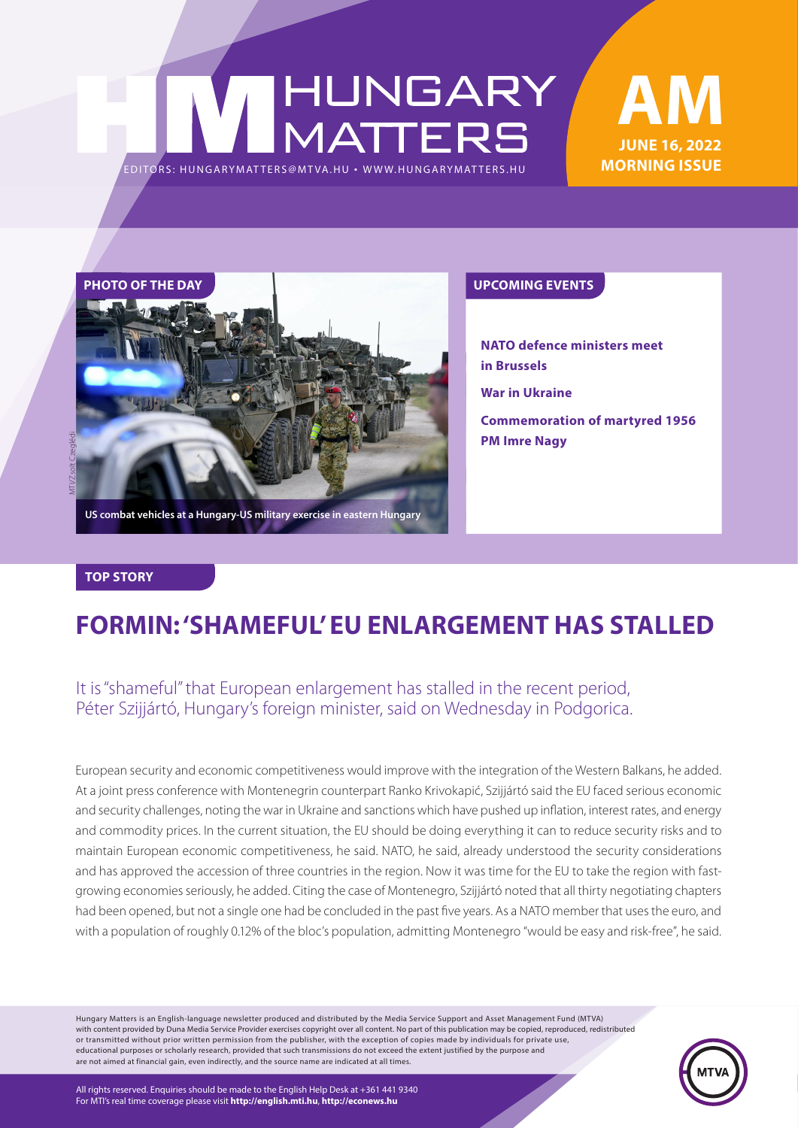# HUNGARY<br>MATTERS EDITORS: HUNGARYMAT TERS@MT VA.HU ¬ WWW.HUNGARYMAT TERS.HU

### **June 16, 2022 MORNING ISSUE AM**



**US combat vehicles at a Hungary-US military exercise in eastern Hungary**

**PM Imre Nagy**

**NATO defence ministers meet in Brussels War in Ukraine Commemoration of martyred 1956** 

#### **TOP STORY**

### **FORMIN: 'SHAMEFUL' EU ENLARGEMENT HAS STALLED**

### It is "shameful" that European enlargement has stalled in the recent period, Péter Szijjártó, Hungary's foreign minister, said on Wednesday in Podgorica.

European security and economic competitiveness would improve with the integration of the Western Balkans, he added. At a joint press conference with Montenegrin counterpart Ranko Krivokapić, Szijjártó said the EU faced serious economic and security challenges, noting the war in Ukraine and sanctions which have pushed up inflation, interest rates, and energy and commodity prices. In the current situation, the EU should be doing everything it can to reduce security risks and to maintain European economic competitiveness, he said. NATO, he said, already understood the security considerations and has approved the accession of three countries in the region. Now it was time for the EU to take the region with fastgrowing economies seriously, he added. Citing the case of Montenegro, Szijjártó noted that all thirty negotiating chapters had been opened, but not a single one had be concluded in the past five years. As a NATO member that uses the euro, and with a population of roughly 0.12% of the bloc's population, admitting Montenegro "would be easy and risk-free", he said.

Hungary Matters is an English-language newsletter produced and distributed by the Media Service Support and Asset Management Fund (MTVA) with content provided by Duna Media Service Provider exercises copyright over all content. No part of this publication may be copied, reproduced, redistributed or transmitted without prior written permission from the publisher, with the exception of copies made by individuals for private use, educational purposes or scholarly research, provided that such transmissions do not exceed the extent justified by the purpose and are not aimed at financial gain, even indirectly, and the source name are indicated at all times.



All rights reserved. Enquiries should be made to the English Help Desk at +361 441 9340 For MTI's real time coverage please visit **http://english.mti.hu**, **http://econews.hu**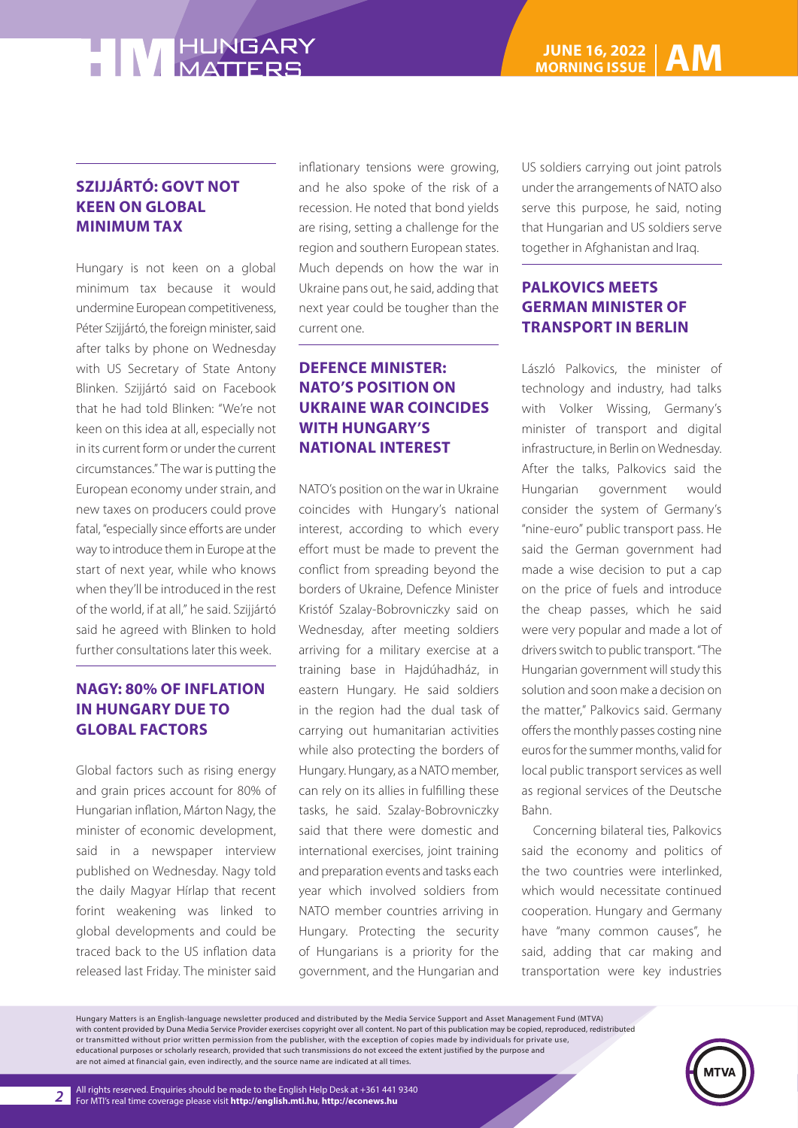#### **SZIJJÁRTÓ: GOVT NOT KEEN ON GLOBAL MINIMUM TAX**

Hungary is not keen on a global minimum tax because it would undermine European competitiveness, Péter Szijjártó, the foreign minister, said after talks by phone on Wednesday with US Secretary of State Antony Blinken. Szijjártó said on Facebook that he had told Blinken: "We're not keen on this idea at all, especially not in its current form or under the current circumstances." The war is putting the European economy under strain, and new taxes on producers could prove fatal, "especially since efforts are under way to introduce them in Europe at the start of next year, while who knows when they'll be introduced in the rest of the world, if at all," he said. Szijjártó said he agreed with Blinken to hold further consultations later this week.

#### **NAGY: 80% OF INFLATION IN HUNGARY DUE TO GLOBAL FACTORS**

Global factors such as rising energy and grain prices account for 80% of Hungarian inflation, Márton Nagy, the minister of economic development, said in a newspaper interview published on Wednesday. Nagy told the daily Magyar Hírlap that recent forint weakening was linked to global developments and could be traced back to the US inflation data released last Friday. The minister said

inflationary tensions were growing, and he also spoke of the risk of a recession. He noted that bond yields are rising, setting a challenge for the region and southern European states. Much depends on how the war in Ukraine pans out, he said, adding that next year could be tougher than the current one.

#### **DEFENCE MINISTER: NATO'S POSITION ON UKRAINE WAR COINCIDES WITH HUNGARY'S NATIONAL INTEREST**

NATO's position on the war in Ukraine coincides with Hungary's national interest, according to which every effort must be made to prevent the conflict from spreading beyond the borders of Ukraine, Defence Minister Kristóf Szalay-Bobrovniczky said on Wednesday, after meeting soldiers arriving for a military exercise at a training base in Hajdúhadház, in eastern Hungary. He said soldiers in the region had the dual task of carrying out humanitarian activities while also protecting the borders of Hungary. Hungary, as a NATO member, can rely on its allies in fulfilling these tasks, he said. Szalay-Bobrovniczky said that there were domestic and international exercises, joint training and preparation events and tasks each year which involved soldiers from NATO member countries arriving in Hungary. Protecting the security of Hungarians is a priority for the government, and the Hungarian and

US soldiers carrying out joint patrols under the arrangements of NATO also serve this purpose, he said, noting that Hungarian and US soldiers serve together in Afghanistan and Iraq.

### **PALKOVICS MEETS GERMAN MINISTER OF TRANSPORT IN BERLIN**

László Palkovics, the minister of technology and industry, had talks with Volker Wissing, Germany's minister of transport and digital infrastructure, in Berlin on Wednesday. After the talks, Palkovics said the Hungarian government would consider the system of Germany's "nine-euro" public transport pass. He said the German government had made a wise decision to put a cap on the price of fuels and introduce the cheap passes, which he said were very popular and made a lot of drivers switch to public transport. "The Hungarian government will study this solution and soon make a decision on the matter," Palkovics said. Germany offers the monthly passes costing nine euros for the summer months, valid for local public transport services as well as regional services of the Deutsche Bahn.

Concerning bilateral ties, Palkovics said the economy and politics of the two countries were interlinked, which would necessitate continued cooperation. Hungary and Germany have "many common causes", he said, adding that car making and transportation were key industries

Hungary Matters is an English-language newsletter produced and distributed by the Media Service Support and Asset Management Fund (MTVA) with content provided by Duna Media Service Provider exercises copyright over all content. No part of this publication may be copied, reproduced, redistributed or transmitted without prior written permission from the publisher, with the exception of copies made by individuals for private use, educational purposes or scholarly research, provided that such transmissions do not exceed the extent justified by the purpose and are not aimed at financial gain, even indirectly, and the source name are indicated at all times.

*2*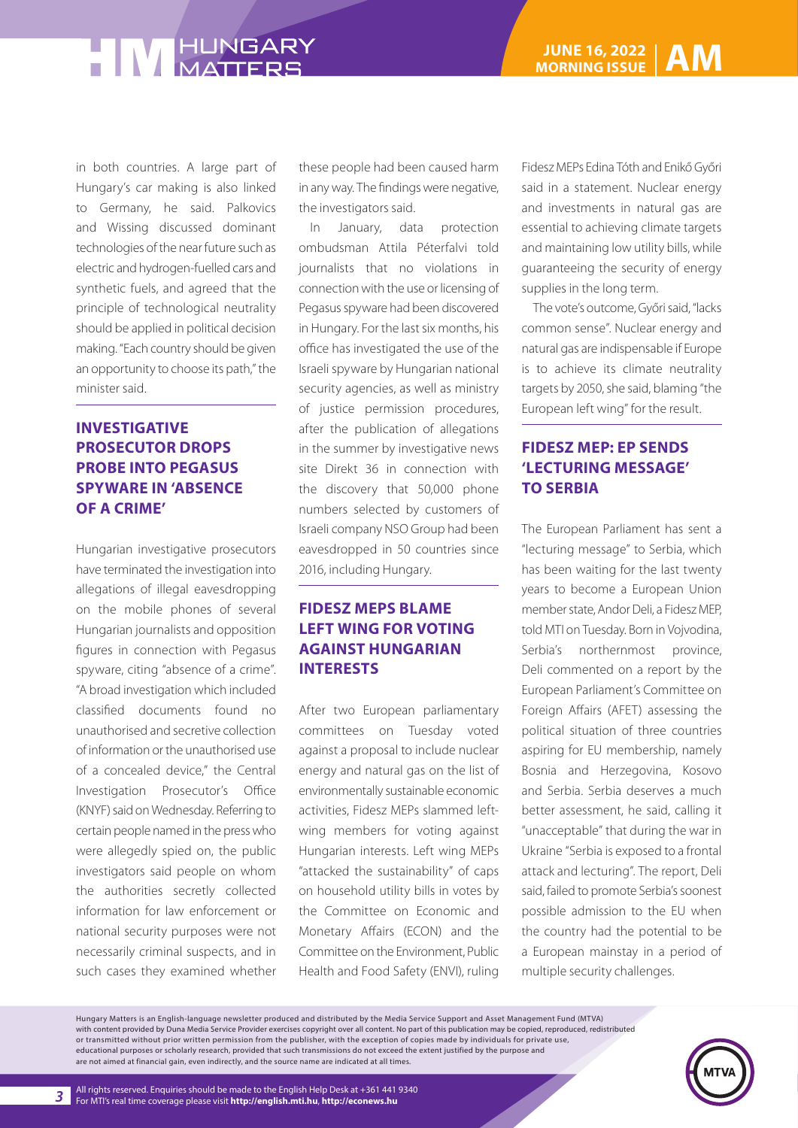in both countries. A large part of Hungary's car making is also linked to Germany, he said. Palkovics and Wissing discussed dominant technologies of the near future such as electric and hydrogen-fuelled cars and synthetic fuels, and agreed that the principle of technological neutrality should be applied in political decision making. "Each country should be given an opportunity to choose its path," the minister said.

#### **INVESTIGATIVE PROSECUTOR DROPS PROBE INTO PEGASUS SPYWARE IN 'ABSENCE OF A CRIME'**

Hungarian investigative prosecutors have terminated the investigation into allegations of illegal eavesdropping on the mobile phones of several Hungarian journalists and opposition figures in connection with Pegasus spyware, citing "absence of a crime". "A broad investigation which included classified documents found no unauthorised and secretive collection of information or the unauthorised use of a concealed device," the Central Investigation Prosecutor's Office (KNYF) said on Wednesday. Referring to certain people named in the press who were allegedly spied on, the public investigators said people on whom the authorities secretly collected information for law enforcement or national security purposes were not necessarily criminal suspects, and in such cases they examined whether

these people had been caused harm in any way. The findings were negative, the investigators said.

In January, data protection ombudsman Attila Péterfalvi told journalists that no violations in connection with the use or licensing of Pegasus spyware had been discovered in Hungary. For the last six months, his office has investigated the use of the Israeli spyware by Hungarian national security agencies, as well as ministry of justice permission procedures, after the publication of allegations in the summer by investigative news site Direkt 36 in connection with the discovery that 50,000 phone numbers selected by customers of Israeli company NSO Group had been eavesdropped in 50 countries since 2016, including Hungary.

#### **FIDESZ MEPS BLAME LEFT WING FOR VOTING AGAINST HUNGARIAN INTERESTS**

After two European parliamentary committees on Tuesday voted against a proposal to include nuclear energy and natural gas on the list of environmentally sustainable economic activities, Fidesz MEPs slammed leftwing members for voting against Hungarian interests. Left wing MEPs "attacked the sustainability" of caps on household utility bills in votes by the Committee on Economic and Monetary Affairs (ECON) and the Committee on the Environment, Public Health and Food Safety (ENVI), ruling

Fidesz MEPs Edina Tóth and Enikő Győri said in a statement. Nuclear energy and investments in natural gas are essential to achieving climate targets and maintaining low utility bills, while guaranteeing the security of energy supplies in the long term.

The vote's outcome, Győri said, "lacks common sense". Nuclear energy and natural gas are indispensable if Europe is to achieve its climate neutrality targets by 2050, she said, blaming "the European left wing" for the result.

#### **FIDESZ MEP: EP SENDS 'LECTURING MESSAGE' TO SERBIA**

The European Parliament has sent a "lecturing message" to Serbia, which has been waiting for the last twenty years to become a European Union member state, Andor Deli, a Fidesz MEP, told MTI on Tuesday. Born in Vojvodina, Serbia's northernmost province, Deli commented on a report by the European Parliament's Committee on Foreign Affairs (AFET) assessing the political situation of three countries aspiring for EU membership, namely Bosnia and Herzegovina, Kosovo and Serbia. Serbia deserves a much better assessment, he said, calling it "unacceptable" that during the war in Ukraine "Serbia is exposed to a frontal attack and lecturing". The report, Deli said, failed to promote Serbia's soonest possible admission to the EU when the country had the potential to be a European mainstay in a period of multiple security challenges.

Hungary Matters is an English-language newsletter produced and distributed by the Media Service Support and Asset Management Fund (MTVA) with content provided by Duna Media Service Provider exercises copyright over all content. No part of this publication may be copied, reproduced, redistributed or transmitted without prior written permission from the publisher, with the exception of copies made by individuals for private use, educational purposes or scholarly research, provided that such transmissions do not exceed the extent justified by the purpose and are not aimed at financial gain, even indirectly, and the source name are indicated at all times.

*3*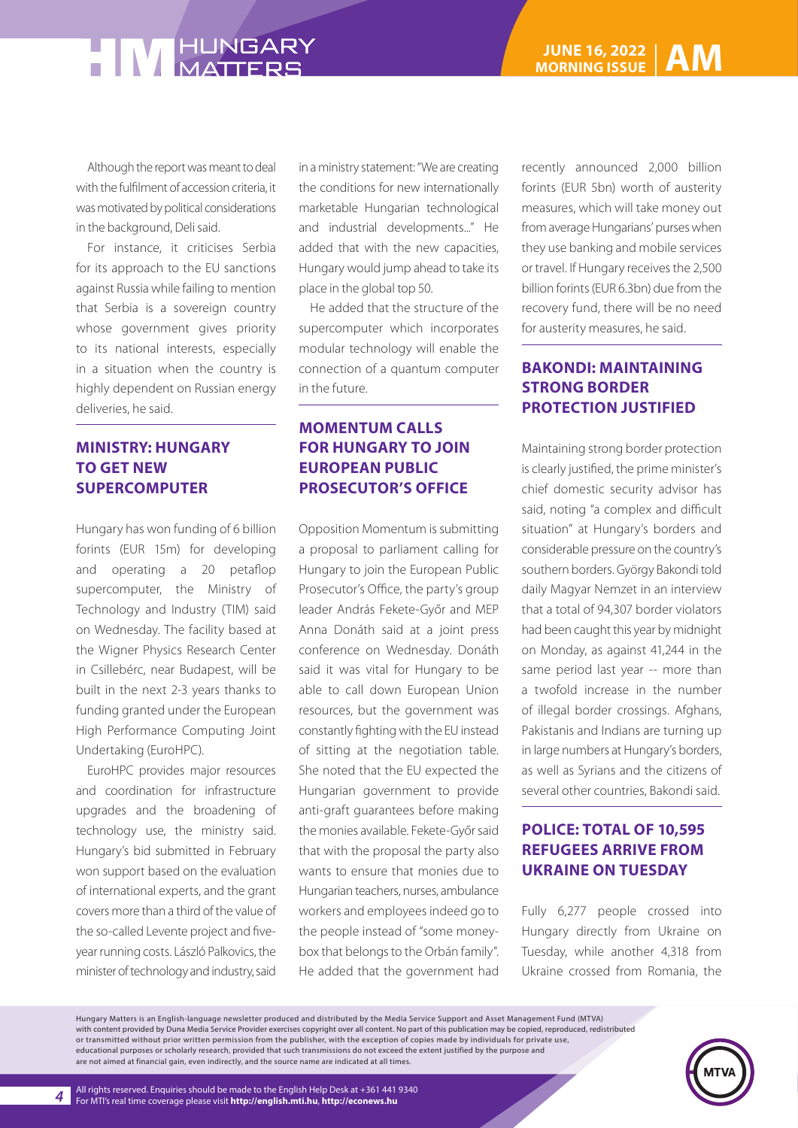Although the report was meant to deal with the fulfilment of accession criteria, it was motivated by political considerations in the background, Deli said.

For instance, it criticises Serbia for its approach to the EU sanctions against Russia while failing to mention that Serbia is a sovereign country whose government gives priority to its national interests, especially in a situation when the country is highly dependent on Russian energy deliveries, he said.

#### **MINISTRY: HUNGARY TO GET NEW SUPERCOMPUTER**

Hungary has won funding of 6 billion forints (EUR 15m) for developing and operating a 20 petaflop supercomputer, the Ministry of Technology and Industry (TIM) said on Wednesday. The facility based at the Wigner Physics Research Center in Csillebérc, near Budapest, will be built in the next 2-3 years thanks to funding granted under the European High Performance Computing Joint Undertaking (EuroHPC).

EuroHPC provides major resources and coordination for infrastructure upgrades and the broadening of technology use, the ministry said. Hungary's bid submitted in February won support based on the evaluation of international experts, and the grant covers more than a third of the value of the so-called Levente project and fiveyear running costs. László Palkovics, the minister of technology and industry, said

in a ministry statement: "We are creating the conditions for new internationally marketable Hungarian technological and industrial developments..." He added that with the new capacities, Hungary would jump ahead to take its place in the global top 50.

He added that the structure of the supercomputer which incorporates modular technology will enable the connection of a quantum computer in the future.

### **MOMENTUM CALLS FOR HUNGARY TO JOIN EUROPEAN PUBLIC PROSECUTOR'S OFFICE**

Opposition Momentum is submitting a proposal to parliament calling for Hungary to join the European Public Prosecutor's Office, the party's group leader András Fekete-Győr and MEP Anna Donáth said at a joint press conference on Wednesday. Donáth said it was vital for Hungary to be able to call down European Union resources, but the government was constantly fighting with the EU instead of sitting at the negotiation table. She noted that the EU expected the Hungarian government to provide anti-graft guarantees before making the monies available. Fekete-Győr said that with the proposal the party also wants to ensure that monies due to Hungarian teachers, nurses, ambulance workers and employees indeed go to the people instead of "some moneybox that belongs to the Orbán family". He added that the government had

recently announced 2,000 billion forints (EUR 5bn) worth of austerity measures, which will take money out from average Hungarians' purses when they use banking and mobile services or travel. If Hungary receives the 2,500 billion forints (EUR 6.3bn) due from the recovery fund, there will be no need for austerity measures, he said.

#### **BAKONDI: MAINTAINING STRONG BORDER PROTECTION JUSTIFIED**

Maintaining strong border protection is clearly justified, the prime minister's chief domestic security advisor has said, noting "a complex and difficult situation" at Hungary's borders and considerable pressure on the country's southern borders. György Bakondi told daily Magyar Nemzet in an interview that a total of 94,307 border violators had been caught this year by midnight on Monday, as against 41,244 in the same period last year -- more than a twofold increase in the number of illegal border crossings. Afghans, Pakistanis and Indians are turning up in large numbers at Hungary's borders, as well as Syrians and the citizens of several other countries, Bakondi said.

#### **POLICE: TOTAL OF 10,595 REFUGEES ARRIVE FROM UKRAINE ON TUESDAY**

Fully 6,277 people crossed into Hungary directly from Ukraine on Tuesday, while another 4,318 from Ukraine crossed from Romania, the

Hungary Matters is an English-language newsletter produced and distributed by the Media Service Support and Asset Management Fund (MTVA) with content provided by Duna Media Service Provider exercises copyright over all content. No part of this publication may be copied, reproduced, redistributed or transmitted without prior written permission from the publisher, with the exception of copies made by individuals for private use, educational purposes or scholarly research, provided that such transmissions do not exceed the extent justified by the purpose and are not aimed at financial gain, even indirectly, and the source name are indicated at all times.

*4*